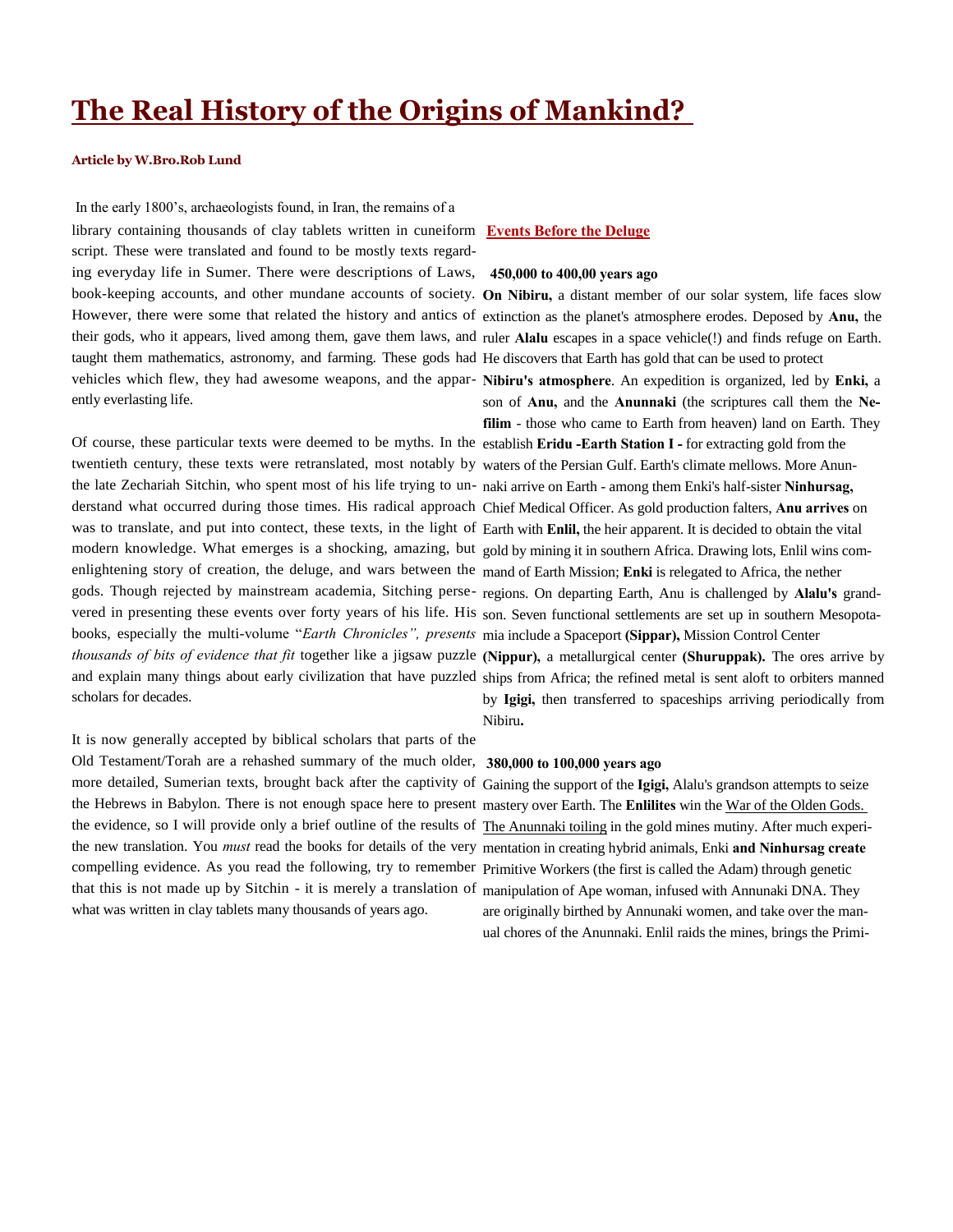# **The Real History of the Origins of Mankind?**

# **Article by W.Bro.Rob Lund**

In the early 1800's, archaeologists found, in Iran, the remains of a library containing thousands of clay tablets written in cuneiform **Events Before the Deluge** script. These were translated and found to be mostly texts regarding everyday life in Sumer. There were descriptions of Laws, **450,000 to 400,00 years ago** book-keeping accounts, and other mundane accounts of society. **On Nibiru,** a distant member of our solar system, life faces slow However, there were some that related the history and antics of extinction as the planet's atmosphere erodes. Deposed by **Anu,** the their gods, who it appears, lived among them, gave them laws, and ruler Alalu escapes in a space vehicle(!) and finds refuge on Earth. taught them mathematics, astronomy, and farming. These gods had He discovers that Earth has gold that can be used to protect vehicles which flew, they had awesome weapons, and the appar-**Nibiru's atmosphere**. An expedition is organized, led by **Enki,** a ently everlasting life.

Of course, these particular texts were deemed to be myths. In the establish **Eridu -Earth Station I -** for extracting gold from the twentieth century, these texts were retranslated, most notably by waters of the Persian Gulf. Earth's climate mellows. More Anunthe late Zechariah Sitchin, who spent most of his life trying to un-naki arrive on Earth - among them Enki's half-sister **Ninhursag,**  derstand what occurred during those times. His radical approach Chief Medical Officer. As gold production falters, **Anu arrives** on was to translate, and put into contect, these texts, in the light of Earth with **Enlil,** the heir apparent. It is decided to obtain the vital modern knowledge. What emerges is a shocking, amazing, but gold by mining it in southern Africa. Drawing lots, Enlil wins comenlightening story of creation, the deluge, and wars between the mand of Earth Mission; **Enki** is relegated to Africa, the nether gods. Though rejected by mainstream academia, Sitching perse-regions. On departing Earth, Anu is challenged by **Alalu's** grandvered in presenting these events over forty years of his life. His son. Seven functional settlements are set up in southern Mesopotabooks, especially the multi-volume "*Earth Chronicles", presents*  mia include a Spaceport **(Sippar),** Mission Control Center *thousands of bits of evidence that fit* together like a jigsaw puzzle **(Nippur),** a metallurgical center **(Shuruppak).** The ores arrive by and explain many things about early civilization that have puzzled ships from Africa; the refined metal is sent aloft to orbiters manned scholars for decades.

It is now generally accepted by biblical scholars that parts of the Old Testament/Torah are a rehashed summary of the much older, **380,000 to 100,000 years ago** more detailed, Sumerian texts, brought back after the captivity of Gaining the support of the **Igigi,** Alalu's grandson attempts to seize the Hebrews in Babylon. There is not enough space here to present mastery over Earth. The **Enlilites** win the War of the Olden Gods. the evidence, so I will provide only a brief outline of the results of The Anunnaki toiling in the gold mines mutiny. After much experithe new translation. You *must* read the books for details of the very mentation in creating hybrid animals, Enki **and Ninhursag create**  compelling evidence. As you read the following, try to remember Primitive Workers (the first is called the Adam) through genetic that this is not made up by Sitchin - it is merely a translation of manipulation of Ape woman, infused with Annunaki DNA. They what was written in clay tablets many thousands of years ago.

son of **Anu,** and the **Anunnaki** (the scriptures call them the **Nefilim** - those who came to Earth from heaven) land on Earth. They by **Igigi,** then transferred to spaceships arriving periodically from Nibiru**.**

are originally birthed by Annunaki women, and take over the manual chores of the Anunnaki. Enlil raids the mines, brings the Primi-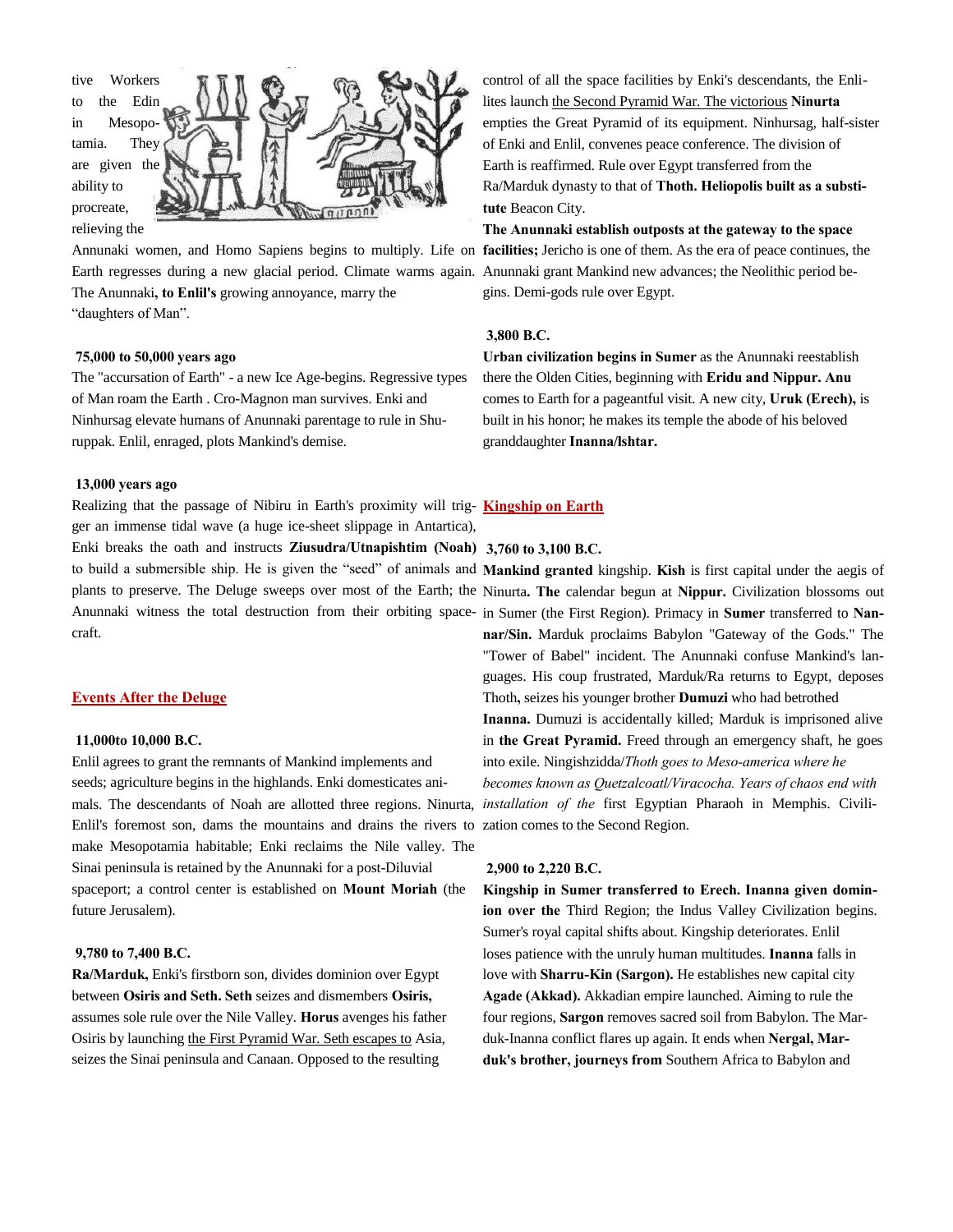

Annunaki women, and Homo Sapiens begins to multiply. Life on **facilities;** Jericho is one of them. As the era of peace continues, the Earth regresses during a new glacial period. Climate warms again. Anunnaki grant Mankind new advances; the Neolithic period be-The Anunnaki**, to Enlil's** growing annoyance, marry the "daughters of Man".

# **75,000 to 50,000 years ago**

The "accursation of Earth" - a new Ice Age-begins. Regressive types of Man roam the Earth . Cro-Magnon man survives. Enki and Ninhursag elevate humans of Anunnaki parentage to rule in Shuruppak. Enlil, enraged, plots Mankind's demise.

### **13,000 years ago**

Realizing that the passage of Nibiru in Earth's proximity will trig-**Kingship on Earth** ger an immense tidal wave (a huge ice-sheet slippage in Antartica), Enki breaks the oath and instructs **Ziusudra/Utnapishtim (Noah) 3,760 to 3,100 B.C.** to build a submersible ship. He is given the "seed" of animals and **Mankind granted** kingship. **Kish** is first capital under the aegis of plants to preserve. The Deluge sweeps over most of the Earth; the Ninurta**. The** calendar begun at **Nippur.** Civilization blossoms out Anunnaki witness the total destruction from their orbiting space-in Sumer (the First Region). Primacy in **Sumer** transferred to **Nan**craft.

### **Events After the Deluge**

# **11,000to 10,000 B.C.**

Enlil agrees to grant the remnants of Mankind implements and seeds; agriculture begins in the highlands. Enki domesticates animals. The descendants of Noah are allotted three regions. Ninurta, Enlil's foremost son, dams the mountains and drains the rivers to zation comes to the Second Region. make Mesopotamia habitable; Enki reclaims the Nile valley. The Sinai peninsula is retained by the Anunnaki for a post-Diluvial spaceport; a control center is established on **Mount Moriah** (the future Jerusalem).

# **9,780 to 7,400 B.C.**

**Ra/Marduk,** Enki's firstborn son, divides dominion over Egypt between **Osiris and Seth. Seth** seizes and dismembers **Osiris,**  assumes sole rule over the Nile Valley. **Horus** avenges his father Osiris by launching the First Pyramid War. Seth escapes to Asia, seizes the Sinai peninsula and Canaan. Opposed to the resulting

control of all the space facilities by Enki's descendants, the Enlilites launch the Second Pyramid War. The victorious **Ninurta** empties the Great Pyramid of its equipment. Ninhursag, half-sister of Enki and Enlil, convenes peace conference. The division of Earth is reaffirmed. Rule over Egypt transferred from the Ra/Marduk dynasty to that of **Thoth. Heliopolis built as a substitute** Beacon City.

**The Anunnaki establish outposts at the gateway to the space**  gins. Demi-gods rule over Egypt.

### **3,800 B.C.**

**Urban civilization begins in Sumer** as the Anunnaki reestablish there the Olden Cities, beginning with **Eridu and Nippur. Anu**  comes to Earth for a pageantful visit. A new city, **Uruk (Erech),** is built in his honor; he makes its temple the abode of his beloved granddaughter **Inanna/lshtar.**

**nar/Sin.** Marduk proclaims Babylon "Gateway of the Gods." The "Tower of Babel" incident. The Anunnaki confuse Mankind's languages. His coup frustrated, Marduk/Ra returns to Egypt, deposes Thoth**,** seizes his younger brother **Dumuzi** who had betrothed **Inanna.** Dumuzi is accidentally killed; Marduk is imprisoned alive in **the Great Pyramid.** Freed through an emergency shaft, he goes into exile. Ningishzidda/*Thoth goes to Meso-america where he becomes known as Quetzalcoatl/Viracocha. Years of chaos end with installation of the* first Egyptian Pharaoh in Memphis. Civili-

# **2,900 to 2,220 B.C.**

**Kingship in Sumer transferred to Erech. Inanna given dominion over the** Third Region; the Indus Valley Civilization begins. Sumer's royal capital shifts about. Kingship deteriorates. Enlil loses patience with the unruly human multitudes. **Inanna** falls in love with **Sharru-Kin (Sargon).** He establishes new capital city **Agade (Akkad).** Akkadian empire launched. Aiming to rule the four regions, **Sargon** removes sacred soil from Babylon. The Marduk-Inanna conflict flares up again. It ends when **Nergal, Marduk's brother, journeys from** Southern Africa to Babylon and